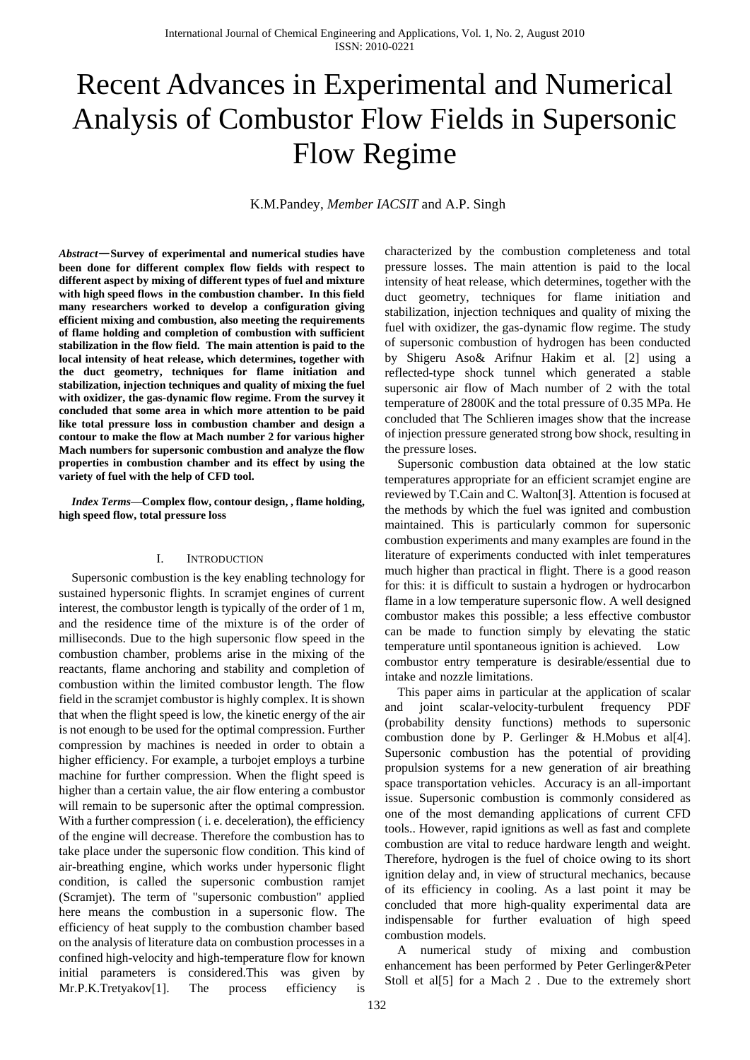# Recent Advances in Experimental and Numerical Analysis of Combustor Flow Fields in Supersonic Flow Regime

K.M.Pandey, *Member IACSIT* and A.P. Singh

*Abstract*—**Survey of experimental and numerical studies have been done for different complex flow fields with respect to different aspect by mixing of different types of fuel and mixture with high speed flows in the combustion chamber. In this field many researchers worked to develop a configuration giving efficient mixing and combustion, also meeting the requirements of flame holding and completion of combustion with sufficient stabilization in the flow field. The main attention is paid to the local intensity of heat release, which determines, together with the duct geometry, techniques for flame initiation and stabilization, injection techniques and quality of mixing the fuel with oxidizer, the gas-dynamic flow regime. From the survey it concluded that some area in which more attention to be paid like total pressure loss in combustion chamber and design a contour to make the flow at Mach number 2 for various higher Mach numbers for supersonic combustion and analyze the flow properties in combustion chamber and its effect by using the variety of fuel with the help of CFD tool.**

*Index Terms***—Complex flow, contour design, , flame holding, high speed flow, total pressure loss**

## I. INTRODUCTION

Supersonic combustion is the key enabling technology for sustained hypersonic flights. In scramjet engines of current interest, the combustor length is typically of the order of 1 m, and the residence time of the mixture is of the order of milliseconds. Due to the high supersonic flow speed in the combustion chamber, problems arise in the mixing of the reactants, flame anchoring and stability and completion of combustion within the limited combustor length. The flow field in the scramjet combustor is highly complex. It is shown that when the flight speed is low, the kinetic energy of the air is not enough to be used for the optimal compression. Further compression by machines is needed in order to obtain a higher efficiency. For example, a turbojet employs a turbine machine for further compression. When the flight speed is higher than a certain value, the air flow entering a combustor will remain to be supersonic after the optimal compression. With a further compression ( i. e. deceleration), the efficiency of the engine will decrease. Therefore the combustion has to take place under the supersonic flow condition. This kind of air-breathing engine, which works under hypersonic flight condition, is called the supersonic combustion ramjet (Scramjet). The term of "supersonic combustion" applied here means the combustion in a supersonic flow. The efficiency of heat supply to the combustion chamber based on the analysis of literature data on combustion processes in a confined high-velocity and high-temperature flow for known initial parameters is considered.This was given by Mr.P.K.Tretyakov[1]. The process efficiency is

characterized by the combustion completeness and total pressure losses. The main attention is paid to the local intensity of heat release, which determines, together with the duct geometry, techniques for flame initiation and stabilization, injection techniques and quality of mixing the fuel with oxidizer, the gas-dynamic flow regime. The study of supersonic combustion of hydrogen has been conducted by Shigeru Aso& Arifnur Hakim et al. [2] using a reflected-type shock tunnel which generated a stable supersonic air flow of Mach number of 2 with the total temperature of 2800K and the total pressure of 0.35 MPa. He concluded that The Schlieren images show that the increase of injection pressure generated strong bow shock, resulting in the pressure loses.

Supersonic combustion data obtained at the low static temperatures appropriate for an efficient scramjet engine are reviewed by T.Cain and C. Walton[3]. Attention is focused at the methods by which the fuel was ignited and combustion maintained. This is particularly common for supersonic combustion experiments and many examples are found in the literature of experiments conducted with inlet temperatures much higher than practical in flight. There is a good reason for this: it is difficult to sustain a hydrogen or hydrocarbon flame in a low temperature supersonic flow. A well designed combustor makes this possible; a less effective combustor can be made to function simply by elevating the static temperature until spontaneous ignition is achieved. Low combustor entry temperature is desirable/essential due to intake and nozzle limitations.

This paper aims in particular at the application of scalar and joint scalar-velocity-turbulent frequency PDF (probability density functions) methods to supersonic combustion done by P. Gerlinger & H.Mobus et al[4]. Supersonic combustion has the potential of providing propulsion systems for a new generation of air breathing space transportation vehicles. Accuracy is an all-important issue. Supersonic combustion is commonly considered as one of the most demanding applications of current CFD tools.. However, rapid ignitions as well as fast and complete combustion are vital to reduce hardware length and weight. Therefore, hydrogen is the fuel of choice owing to its short ignition delay and, in view of structural mechanics, because of its efficiency in cooling. As a last point it may be concluded that more high-quality experimental data are indispensable for further evaluation of high speed combustion models.

A numerical study of mixing and combustion enhancement has been performed by Peter Gerlinger&Peter Stoll et al<sup>[5]</sup> for a Mach 2. Due to the extremely short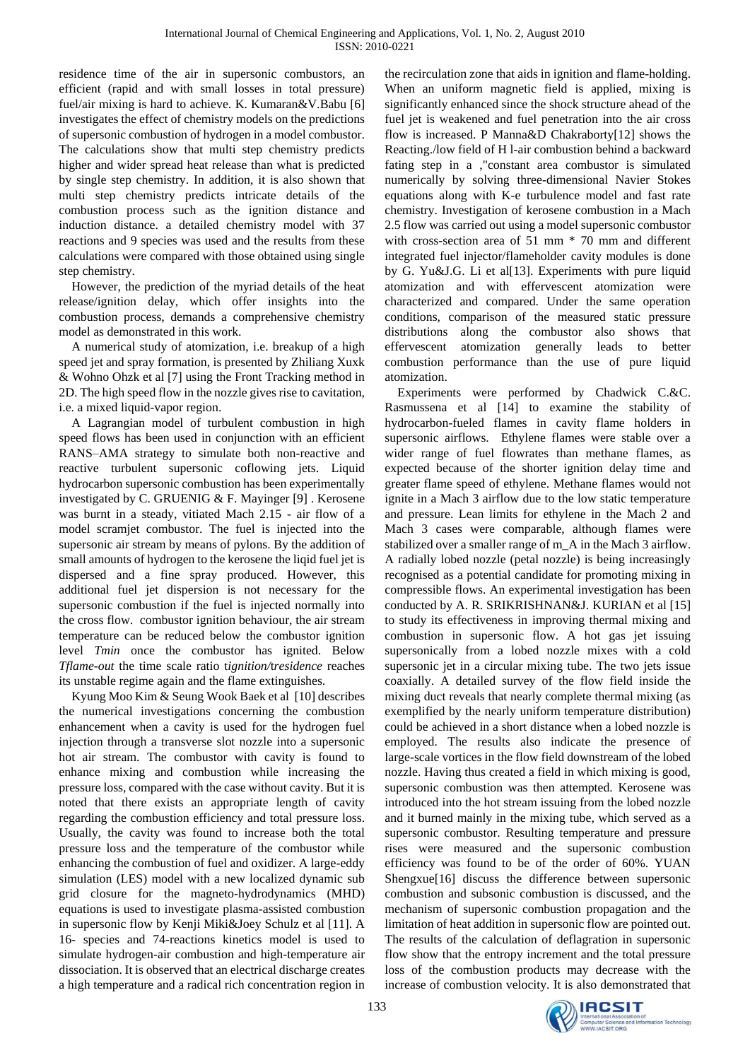residence time of the air in supersonic combustors, an efficient (rapid and with small losses in total pressure) fuel/air mixing is hard to achieve. K. Kumaran&V.Babu [6] investigates the effect of chemistry models on the predictions of supersonic combustion of hydrogen in a model combustor. The calculations show that multi step chemistry predicts higher and wider spread heat release than what is predicted by single step chemistry. In addition, it is also shown that multi step chemistry predicts intricate details of the combustion process such as the ignition distance and induction distance. a detailed chemistry model with 37 reactions and 9 species was used and the results from these calculations were compared with those obtained using single step chemistry.

However, the prediction of the myriad details of the heat release/ignition delay, which offer insights into the combustion process, demands a comprehensive chemistry model as demonstrated in this work.

A numerical study of atomization, i.e. breakup of a high speed jet and spray formation, is presented by Zhiliang Xuxk & Wohno Ohzk et al [7] using the Front Tracking method in 2D. The high speed flow in the nozzle gives rise to cavitation, i.e. a mixed liquid-vapor region.

A Lagrangian model of turbulent combustion in high speed flows has been used in conjunction with an efficient RANS–AMA strategy to simulate both non-reactive and reactive turbulent supersonic coflowing jets. Liquid hydrocarbon supersonic combustion has been experimentally investigated by C. GRUENIG & F. Mayinger [9] . Kerosene was burnt in a steady, vitiated Mach 2.15 - air flow of a model scramjet combustor. The fuel is injected into the supersonic air stream by means of pylons. By the addition of small amounts of hydrogen to the kerosene the liqid fuel jet is dispersed and a fine spray produced. However, this additional fuel jet dispersion is not necessary for the supersonic combustion if the fuel is injected normally into the cross flow. combustor ignition behaviour, the air stream temperature can be reduced below the combustor ignition level *Tmin* once the combustor has ignited. Below *Tflame-out* the time scale ratio t*ignition/*t*residence* reaches its unstable regime again and the flame extinguishes.

Kyung Moo Kim & Seung Wook Baek et al [10] describes the numerical investigations concerning the combustion enhancement when a cavity is used for the hydrogen fuel injection through a transverse slot nozzle into a supersonic hot air stream. The combustor with cavity is found to enhance mixing and combustion while increasing the pressure loss, compared with the case without cavity. But it is noted that there exists an appropriate length of cavity regarding the combustion efficiency and total pressure loss. Usually, the cavity was found to increase both the total pressure loss and the temperature of the combustor while enhancing the combustion of fuel and oxidizer. A large-eddy simulation (LES) model with a new localized dynamic sub grid closure for the magneto-hydrodynamics (MHD) equations is used to investigate plasma-assisted combustion in supersonic flow by Kenji Miki&Joey Schulz et al [11]. A 16- species and 74-reactions kinetics model is used to simulate hydrogen-air combustion and high-temperature air dissociation. It is observed that an electrical discharge creates a high temperature and a radical rich concentration region in

the recirculation zone that aids in ignition and flame-holding. When an uniform magnetic field is applied, mixing is significantly enhanced since the shock structure ahead of the fuel jet is weakened and fuel penetration into the air cross flow is increased. P Manna&D Chakraborty[12] shows the Reacting./low field of H l-air combustion behind a backward fating step in a ,"constant area combustor is simulated numerically by solving three-dimensional Navier Stokes equations along with K-e turbulence model and fast rate chemistry. Investigation of kerosene combustion in a Mach 2.5 flow was carried out using a model supersonic combustor with cross-section area of 51 mm \* 70 mm and different integrated fuel injector/flameholder cavity modules is done by G. Yu&J.G. Li et al[13]. Experiments with pure liquid atomization and with effervescent atomization were characterized and compared. Under the same operation conditions, comparison of the measured static pressure distributions along the combustor also shows that effervescent atomization generally leads to better combustion performance than the use of pure liquid atomization.

Experiments were performed by Chadwick C.&C. Rasmussena et al [14] to examine the stability of hydrocarbon-fueled flames in cavity flame holders in supersonic airflows. Ethylene flames were stable over a wider range of fuel flowrates than methane flames, as expected because of the shorter ignition delay time and greater flame speed of ethylene. Methane flames would not ignite in a Mach 3 airflow due to the low static temperature and pressure. Lean limits for ethylene in the Mach 2 and Mach 3 cases were comparable, although flames were stabilized over a smaller range of m\_A in the Mach 3 airflow. A radially lobed nozzle (petal nozzle) is being increasingly recognised as a potential candidate for promoting mixing in compressible flows. An experimental investigation has been conducted by A. R. SRIKRISHNAN&J. KURIAN et al [15] to study its effectiveness in improving thermal mixing and combustion in supersonic flow. A hot gas jet issuing supersonically from a lobed nozzle mixes with a cold supersonic jet in a circular mixing tube. The two jets issue coaxially. A detailed survey of the flow field inside the mixing duct reveals that nearly complete thermal mixing (as exemplified by the nearly uniform temperature distribution) could be achieved in a short distance when a lobed nozzle is employed. The results also indicate the presence of large-scale vortices in the flow field downstream of the lobed nozzle. Having thus created a field in which mixing is good, supersonic combustion was then attempted. Kerosene was introduced into the hot stream issuing from the lobed nozzle and it burned mainly in the mixing tube, which served as a supersonic combustor. Resulting temperature and pressure rises were measured and the supersonic combustion efficiency was found to be of the order of 60%. YUAN Shengxue<sup>[16]</sup> discuss the difference between supersonic combustion and subsonic combustion is discussed, and the mechanism of supersonic combustion propagation and the limitation of heat addition in supersonic flow are pointed out. The results of the calculation of deflagration in supersonic flow show that the entropy increment and the total pressure loss of the combustion products may decrease with the increase of combustion velocity. It is also demonstrated that

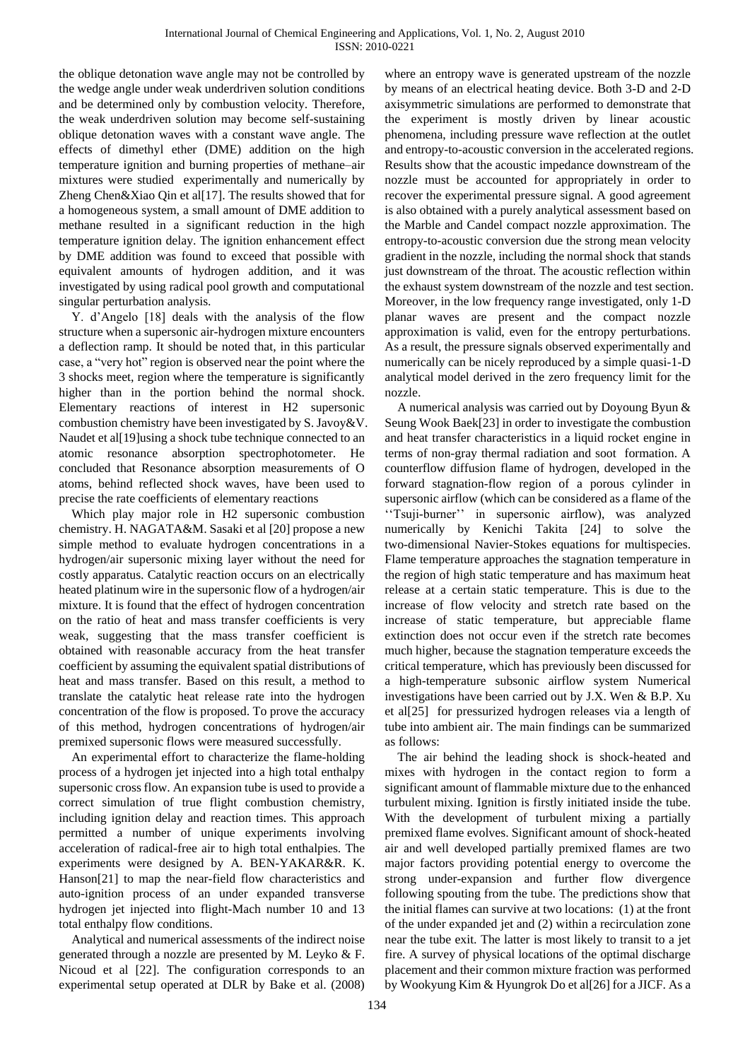the oblique detonation wave angle may not be controlled by the wedge angle under weak underdriven solution conditions and be determined only by combustion velocity. Therefore, the weak underdriven solution may become self-sustaining oblique detonation waves with a constant wave angle. The effects of dimethyl ether (DME) addition on the high temperature ignition and burning properties of methane–air mixtures were studied experimentally and numerically by Zheng Chen&Xiao Qin et al[17]. The results showed that for a homogeneous system, a small amount of DME addition to methane resulted in a significant reduction in the high temperature ignition delay. The ignition enhancement effect by DME addition was found to exceed that possible with equivalent amounts of hydrogen addition, and it was investigated by using radical pool growth and computational singular perturbation analysis.

Y. d'Angelo [18] deals with the analysis of the flow structure when a supersonic air-hydrogen mixture encounters a deflection ramp. It should be noted that, in this particular case, a "very hot" region is observed near the point where the 3 shocks meet, region where the temperature is significantly higher than in the portion behind the normal shock. Elementary reactions of interest in H2 supersonic combustion chemistry have been investigated by S. Javoy&V. Naudet et all 19 using a shock tube technique connected to an atomic resonance absorption spectrophotometer. He concluded that Resonance absorption measurements of O atoms, behind reflected shock waves, have been used to precise the rate coefficients of elementary reactions

Which play major role in H2 supersonic combustion chemistry. H. NAGATA&M. Sasaki et al [20] propose a new simple method to evaluate hydrogen concentrations in a hydrogen/air supersonic mixing layer without the need for costly apparatus. Catalytic reaction occurs on an electrically heated platinum wire in the supersonic flow of a hydrogen/air mixture. It is found that the effect of hydrogen concentration on the ratio of heat and mass transfer coefficients is very weak, suggesting that the mass transfer coefficient is obtained with reasonable accuracy from the heat transfer coefficient by assuming the equivalent spatial distributions of heat and mass transfer. Based on this result, a method to translate the catalytic heat release rate into the hydrogen concentration of the flow is proposed. To prove the accuracy of this method, hydrogen concentrations of hydrogen/air premixed supersonic flows were measured successfully.

An experimental effort to characterize the flame-holding process of a hydrogen jet injected into a high total enthalpy supersonic cross flow. An expansion tube is used to provide a correct simulation of true flight combustion chemistry, including ignition delay and reaction times. This approach permitted a number of unique experiments involving acceleration of radical-free air to high total enthalpies. The experiments were designed by A. BEN-YAKAR&R. K. Hanson[21] to map the near-field flow characteristics and auto-ignition process of an under expanded transverse hydrogen jet injected into flight-Mach number 10 and 13 total enthalpy flow conditions.

Analytical and numerical assessments of the indirect noise generated through a nozzle are presented by M. Leyko & F. Nicoud et al [22]. The configuration corresponds to an experimental setup operated at DLR by Bake et al. (2008) where an entropy wave is generated upstream of the nozzle by means of an electrical heating device. Both 3-D and 2-D axisymmetric simulations are performed to demonstrate that the experiment is mostly driven by linear acoustic phenomena, including pressure wave reflection at the outlet and entropy-to-acoustic conversion in the accelerated regions. Results show that the acoustic impedance downstream of the nozzle must be accounted for appropriately in order to recover the experimental pressure signal. A good agreement is also obtained with a purely analytical assessment based on the Marble and Candel compact nozzle approximation. The entropy-to-acoustic conversion due the strong mean velocity gradient in the nozzle, including the normal shock that stands just downstream of the throat. The acoustic reflection within the exhaust system downstream of the nozzle and test section. Moreover, in the low frequency range investigated, only 1-D planar waves are present and the compact nozzle approximation is valid, even for the entropy perturbations. As a result, the pressure signals observed experimentally and numerically can be nicely reproduced by a simple quasi-1-D analytical model derived in the zero frequency limit for the nozzle.

A numerical analysis was carried out by Doyoung Byun & Seung Wook Baek[23] in order to investigate the combustion and heat transfer characteristics in a liquid rocket engine in terms of non-gray thermal radiation and soot formation. A counterflow diffusion flame of hydrogen, developed in the forward stagnation-flow region of a porous cylinder in supersonic airflow (which can be considered as a flame of the ‗‗Tsuji-burner'' in supersonic airflow), was analyzed numerically by Kenichi Takita [24] to solve the two-dimensional Navier-Stokes equations for multispecies. Flame temperature approaches the stagnation temperature in the region of high static temperature and has maximum heat release at a certain static temperature. This is due to the increase of flow velocity and stretch rate based on the increase of static temperature, but appreciable flame extinction does not occur even if the stretch rate becomes much higher, because the stagnation temperature exceeds the critical temperature, which has previously been discussed for a high-temperature subsonic airflow system Numerical investigations have been carried out by J.X. Wen & B.P. Xu et al[25] for pressurized hydrogen releases via a length of tube into ambient air. The main findings can be summarized as follows:

The air behind the leading shock is shock-heated and mixes with hydrogen in the contact region to form a significant amount of flammable mixture due to the enhanced turbulent mixing. Ignition is firstly initiated inside the tube. With the development of turbulent mixing a partially premixed flame evolves. Significant amount of shock-heated air and well developed partially premixed flames are two major factors providing potential energy to overcome the strong under-expansion and further flow divergence following spouting from the tube. The predictions show that the initial flames can survive at two locations: (1) at the front of the under expanded jet and (2) within a recirculation zone near the tube exit. The latter is most likely to transit to a jet fire. A survey of physical locations of the optimal discharge placement and their common mixture fraction was performed by Wookyung Kim & Hyungrok Do et al[26] for a JICF. As a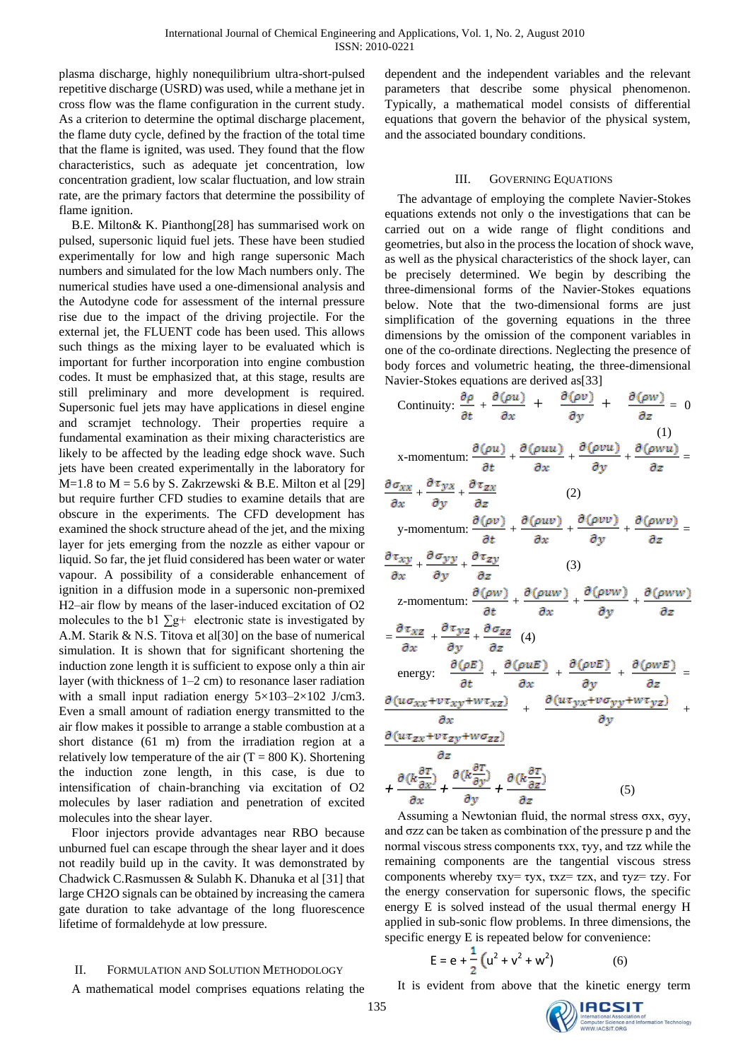plasma discharge, highly nonequilibrium ultra-short-pulsed repetitive discharge (USRD) was used, while a methane jet in cross flow was the flame configuration in the current study. As a criterion to determine the optimal discharge placement, the flame duty cycle, defined by the fraction of the total time that the flame is ignited, was used. They found that the flow characteristics, such as adequate jet concentration, low concentration gradient, low scalar fluctuation, and low strain rate, are the primary factors that determine the possibility of flame ignition.

B.E. Milton& K. Pianthong[28] has summarised work on pulsed, supersonic liquid fuel jets. These have been studied experimentally for low and high range supersonic Mach numbers and simulated for the low Mach numbers only. The numerical studies have used a one-dimensional analysis and the Autodyne code for assessment of the internal pressure rise due to the impact of the driving projectile. For the external jet, the FLUENT code has been used. This allows such things as the mixing layer to be evaluated which is important for further incorporation into engine combustion codes. It must be emphasized that, at this stage, results are still preliminary and more development is required. Supersonic fuel jets may have applications in diesel engine and scramjet technology. Their properties require a fundamental examination as their mixing characteristics are likely to be affected by the leading edge shock wave. Such jets have been created experimentally in the laboratory for  $M=1.8$  to  $M = 5.6$  by S. Zakrzewski & B.E. Milton et al [29] but require further CFD studies to examine details that are obscure in the experiments. The CFD development has examined the shock structure ahead of the jet, and the mixing layer for jets emerging from the nozzle as either vapour or liquid. So far, the jet fluid considered has been water or water vapour. A possibility of a considerable enhancement of ignition in a diffusion mode in a supersonic non-premixed H2–air flow by means of the laser-induced excitation of O2 molecules to the b1  $\Sigma$ g+ electronic state is investigated by A.M. Starik & N.S. Titova et al[30] on the base of numerical simulation. It is shown that for significant shortening the induction zone length it is sufficient to expose only a thin air layer (with thickness of 1–2 cm) to resonance laser radiation with a small input radiation energy  $5 \times 103 - 2 \times 102$  J/cm3. Even a small amount of radiation energy transmitted to the air flow makes it possible to arrange a stable combustion at a short distance (61 m) from the irradiation region at a relatively low temperature of the air  $(T = 800 \text{ K})$ . Shortening the induction zone length, in this case, is due to intensification of chain-branching via excitation of O2 molecules by laser radiation and penetration of excited molecules into the shear layer.

Floor injectors provide advantages near RBO because unburned fuel can escape through the shear layer and it does not readily build up in the cavity. It was demonstrated by Chadwick C.Rasmussen & Sulabh K. Dhanuka et al [31] that large CH2O signals can be obtained by increasing the camera gate duration to take advantage of the long fluorescence lifetime of formaldehyde at low pressure.

## II. FORMULATION AND SOLUTION METHODOLOGY

A mathematical model comprises equations relating the

dependent and the independent variables and the relevant parameters that describe some physical phenomenon. Typically, a mathematical model consists of differential equations that govern the behavior of the physical system, and the associated boundary conditions.

### III. GOVERNING EQUATIONS

The advantage of employing the complete Navier-Stokes equations extends not only o the investigations that can be carried out on a wide range of flight conditions and geometries, but also in the process the location of shock wave, as well as the physical characteristics of the shock layer, can be precisely determined. We begin by describing the three-dimensional forms of the Navier-Stokes equations below. Note that the two-dimensional forms are just simplification of the governing equations in the three dimensions by the omission of the component variables in one of the co-ordinate directions. Neglecting the presence of body forces and volumetric heating, the three-dimensional Navier-Stokes equations are derived as[33]

Continuity: 
$$
\frac{\partial \rho}{\partial t} + \frac{\partial (\rho u)}{\partial x} + \frac{\partial (\rho v)}{\partial y} + \frac{\partial (\rho w)}{\partial z} = 0
$$
  
\nx-momentum:  $\frac{\partial (\rho u)}{\partial t} + \frac{\partial (\rho uu)}{\partial x} + \frac{\partial (\rho vu)}{\partial y} + \frac{\partial (\rho w u)}{\partial z} = \frac{\partial \sigma_{xx}}{\partial x} + \frac{\partial \tau_{yx}}{\partial y} + \frac{\partial \tau_{zx}}{\partial z}$  (2)  
\ny-momentum:  $\frac{\partial (\rho v)}{\partial t} + \frac{\partial (\rho uv)}{\partial x} + \frac{\partial (\rho vv)}{\partial y} + \frac{\partial (\rho vv)}{\partial z} = \frac{\partial \tau_{xy}}{\partial x} + \frac{\partial \sigma_{yy}}{\partial y} + \frac{\partial \tau_{zy}}{\partial z}$  (3)  
\nz-momentum:  $\frac{\partial (\rho w)}{\partial t} + \frac{\partial (\rho uw)}{\partial x} + \frac{\partial (\rho uw)}{\partial y} + \frac{\partial (\rho vw)}{\partial z}$   
\n $= \frac{\partial \tau_{xz}}{\partial x} + \frac{\partial \tau_{yz}}{\partial y} + \frac{\partial \sigma_{zz}}{\partial z}$  (4)  
\nenergy:  $\frac{\partial (\rho E)}{\partial t} + \frac{\partial (\rho u E)}{\partial x} + \frac{\partial (\rho v E)}{\partial y} + \frac{\partial (\rho w E)}{\partial z} = \frac{\partial (u \sigma_{xx} + v \tau_{xy} + w \tau_{xz})}{\partial x} + \frac{\partial (u \tau_{yx} + v \sigma_{yy} + w \tau_{yz})}{\partial y} + \frac{\partial (u \tau_{yx} + v \sigma_{yy} + w \tau_{yz})}{\partial y}$   
\n $+ \frac{\partial (u \frac{\partial \tau}{\partial x})}{\partial x} + \frac{\partial (u \frac{\partial \tau}{\partial y})}{\partial y} + \frac{\partial (u \frac{\partial \tau}{\partial z})}{\partial z}$  (5)

Assuming a Newtonian fluid, the normal stress σxx, σyy, and σzz can be taken as combination of the pressure p and the normal viscous stress components τxx, τyy, and τzz while the remaining components are the tangential viscous stress components whereby  $\tau xy = \tau yx$ ,  $\tau xz = \tau zx$ , and  $\tau yz = \tau zy$ . For the energy conservation for supersonic flows, the specific energy E is solved instead of the usual thermal energy H applied in sub-sonic flow problems. In three dimensions, the specific energy E is repeated below for convenience:

$$
E = e + \frac{1}{2} (u^2 + v^2 + w^2)
$$
 (6)

It is evident from above that the kinetic energy term

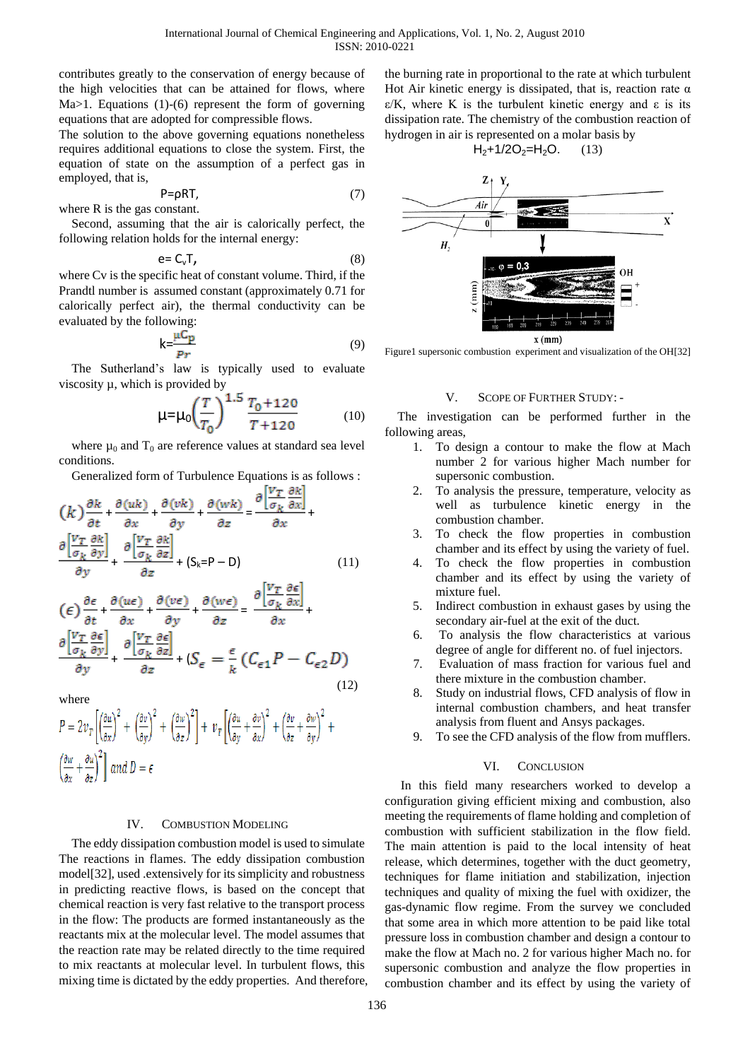contributes greatly to the conservation of energy because of the high velocities that can be attained for flows, where Ma>1. Equations (1)-(6) represent the form of governing equations that are adopted for compressible flows.

The solution to the above governing equations nonetheless requires additional equations to close the system. First, the equation of state on the assumption of a perfect gas in employed, that is,

$$
P = \rho RT, \tag{7}
$$

where R is the gas constant.

Second, assuming that the air is calorically perfect, the following relation holds for the internal energy:

$$
e = C_v T, \tag{8}
$$

where Cv is the specific heat of constant volume. Third, if the Prandtl number is assumed constant (approximately 0.71 for calorically perfect air), the thermal conductivity can be evaluated by the following:

$$
k = \frac{\mu C_p}{p_r} \tag{9}
$$

The Sutherland's law is typically used to evaluate viscosity µ, which is provided by

$$
\mu = \mu_0 \left(\frac{T}{T_0}\right)^{1.5} \frac{T_0 + 120}{T + 120} \tag{10}
$$

where  $\mu_0$  and  $T_0$  are reference values at standard sea level conditions.

Generalized form of Turbulence Equations is as follows :

$$
(k)\frac{\partial k}{\partial t} + \frac{\partial (uk)}{\partial x} + \frac{\partial (vk)}{\partial y} + \frac{\partial (wk)}{\partial z} = \frac{\partial \left|\frac{V_T}{\sigma_k} \frac{\partial k}{\partial x}\right|}{\partial x} + \frac{\partial \left|\frac{V_T}{\sigma_k} \frac{\partial k}{\partial y}\right|}{\partial y} + \frac{\partial \left|\frac{V_T}{\sigma_k} \frac{\partial k}{\partial z}\right|}{\partial z} + (S_k = P - D) \tag{11}
$$

$$
\begin{aligned}\n(\epsilon) \frac{\partial \epsilon}{\partial t} + \frac{\partial (u\epsilon)}{\partial x} + \frac{\partial (v\epsilon)}{\partial y} + \frac{\partial (w\epsilon)}{\partial z} = \frac{\partial \left| \frac{V_T}{\sigma_k} \frac{\partial \epsilon}{\partial x} \right|}{\partial x} + \frac{\partial \left| \frac{V_T}{\sigma_k} \frac{\partial \epsilon}{\partial y} \right|}{\partial y} + \frac{\partial \left| \frac{V_T}{\sigma_k} \frac{\partial \epsilon}{\partial z} \right|}{\partial z} + (S_{\epsilon} = \frac{\epsilon}{k} \left( C_{\epsilon 1} P - C_{\epsilon 2} D \right)\n\end{aligned}
$$
\n(12)

where

 $\left(\frac{\partial w}{\partial y} + \frac{\partial u}{\partial z}\right)^2$  and  $D = \epsilon$ 

#### IV. COMBUSTION MODELING

The eddy dissipation combustion model is used to simulate The reactions in flames. The eddy dissipation combustion model[32], used .extensively for its simplicity and robustness in predicting reactive flows, is based on the concept that chemical reaction is very fast relative to the transport process in the flow: The products are formed instantaneously as the reactants mix at the molecular level. The model assumes that the reaction rate may be related directly to the time required to mix reactants at molecular level. In turbulent flows, this mixing time is dictated by the eddy properties. And therefore, the burning rate in proportional to the rate at which turbulent Hot Air kinetic energy is dissipated, that is, reaction rate  $\alpha$ ε/K, where K is the turbulent kinetic energy and ε is its dissipation rate. The chemistry of the combustion reaction of hydrogen in air is represented on a molar basis by

$$
H_2+1/2O_2=H_2O.
$$
 (13)



Figure1 supersonic combustion experiment and visualization of the OH[32]

### V. SCOPE OF FURTHER STUDY: -

The investigation can be performed further in the following areas,

- 1. To design a contour to make the flow at Mach number 2 for various higher Mach number for supersonic combustion.
- 2. To analysis the pressure, temperature, velocity as well as turbulence kinetic energy in the combustion chamber.
- 3. To check the flow properties in combustion chamber and its effect by using the variety of fuel.
- 4. To check the flow properties in combustion chamber and its effect by using the variety of mixture fuel.
- 5. Indirect combustion in exhaust gases by using the secondary air-fuel at the exit of the duct.
- 6. To analysis the flow characteristics at various degree of angle for different no. of fuel injectors.
- 7. Evaluation of mass fraction for various fuel and there mixture in the combustion chamber.
- 8. Study on industrial flows, CFD analysis of flow in internal combustion chambers, and heat transfer analysis from fluent and Ansys packages.
- 9. To see the CFD analysis of the flow from mufflers.

#### VI. CONCLUSION

In this field many researchers worked to develop a configuration giving efficient mixing and combustion, also meeting the requirements of flame holding and completion of combustion with sufficient stabilization in the flow field. The main attention is paid to the local intensity of heat release, which determines, together with the duct geometry, techniques for flame initiation and stabilization, injection techniques and quality of mixing the fuel with oxidizer, the gas-dynamic flow regime. From the survey we concluded that some area in which more attention to be paid like total pressure loss in combustion chamber and design a contour to make the flow at Mach no. 2 for various higher Mach no. for supersonic combustion and analyze the flow properties in combustion chamber and its effect by using the variety of